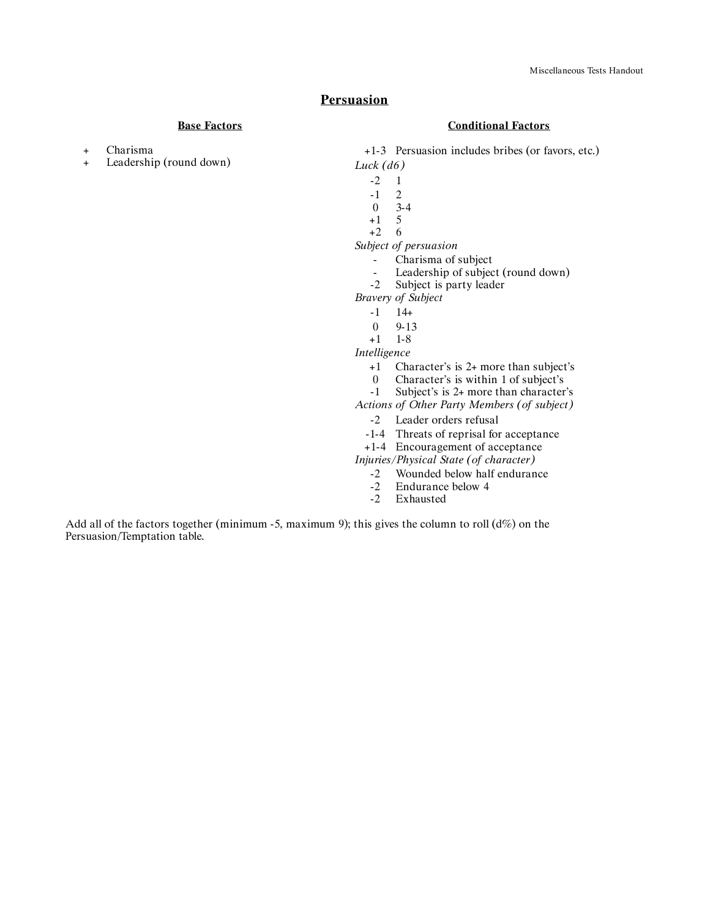## **Persuasion**

### **Base Factors**

- + Charisma
- + Leadership (round down)

#### **Conditional Factors**

+1-3 Persuasion includes bribes (or favors, etc.)

- *Luck (d6)*
	- $-2 \t 1$
	- -1 2
	- $\begin{matrix} 0 & 3-4 \\ +1 & 5 \end{matrix}$
	- $+1$
	- +2 6

*Subject of persuasion*

- Charisma of subject
- Leadership of subject (round down)<br>-2 Subject is party leader
- Subject is party leader

*Bravery of Subject*

- $-1$   $14+$
- 0 9-13
- +1 1-8

*Intelligence*

- +1 Character's is 2+ more than subject's
- 0 Character's is within 1 of subject's
- -1 Subject's is 2+ more than character's

*Actions of Other Party Members (of subject)*

- -2 Leader orders refusal
- -1-4 Threats of reprisal for acceptance
- +1-4 Encouragement of acceptance

*Injuries/Physical State (of character)*

- -2 Wounded below half endurance<br>-2 Endurance below 4
- -2 Endurance below 4<br>-2 Exhausted
	- Exhausted

Add all of the factors together (minimum -5, maximum 9); this gives the column to roll  $(d\%)$  on the Persuasion/Temptation table.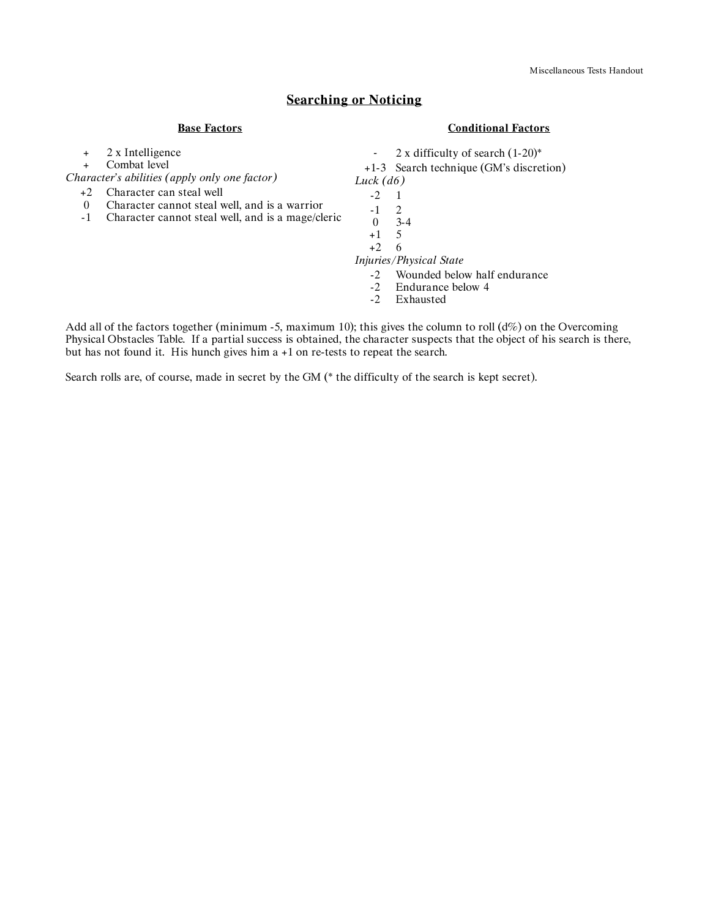## **Searching or Noticing**

### **Base Factors**

#### **Conditional Factors**

+ 2 x Intelligence

+ Combat level

*Character's abilities (apply only one factor)*

- +2 Character can steal well
- 0 Character cannot steal well, and is a warrior
- -1 Character cannot steal well, and is a mage/cleric

*-* 2 x difficulty of search (1-20)\*

+1-3 Search technique (GM's discretion)

- *Luck (d6)*
	- -2 1
	- $\begin{matrix} -1 & 2 \\ 0 & 3 \end{matrix}$
	- $3-4$
	- $+1$ +2 6

*Injuries/Physical State*

- -2 Wounded below half endurance<br>-2 Endurance below 4
- -2 Endurance below 4<br>-2 Exhausted
- Exhausted

Add all of the factors together (minimum -5, maximum 10); this gives the column to roll  $(d\%)$  on the Overcoming Physical Obstacles Table. If a partial success is obtained, the character suspects that the object of his search is there, but has not found it. His hunch gives him a +1 on re-tests to repeat the search.

Search rolls are, of course, made in secret by the GM (\* the difficulty of the search is kept secret).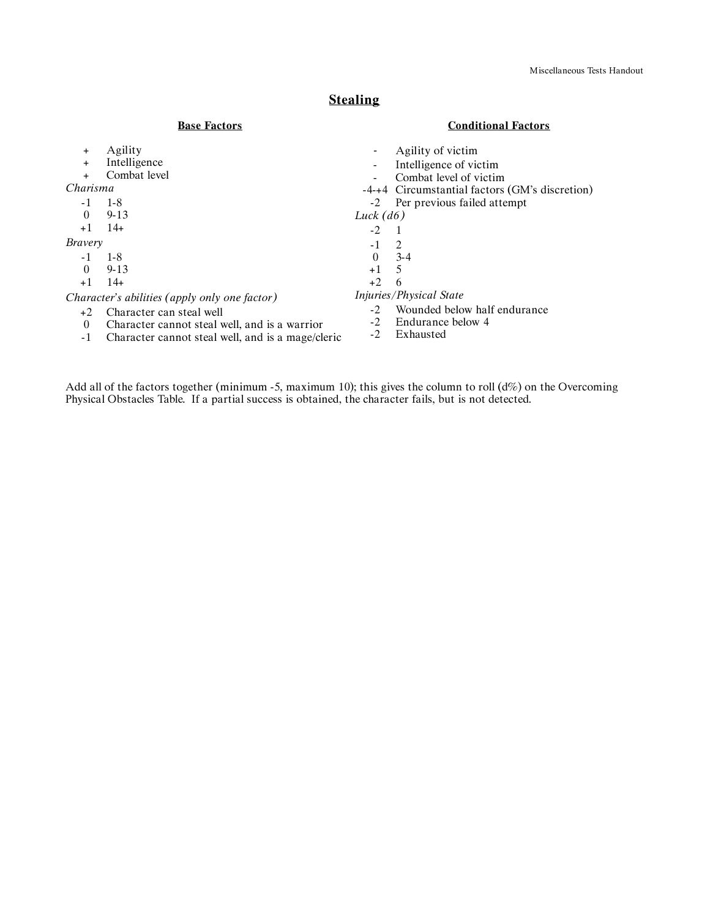# **Stealing**

### **Base Factors**

### **Conditional Factors**

| $\ddot{}$                                     | Agility                                       | -              | Agility of victim                              |
|-----------------------------------------------|-----------------------------------------------|----------------|------------------------------------------------|
| $\ddot{}$                                     | Intelligence                                  |                | Intelligence of victim                         |
|                                               | Combat level                                  | $\blacksquare$ | Combat level of victim                         |
| Charisma                                      |                                               |                | -4-+4 Circumstantial factors (GM's discretion) |
| -1                                            | $1-8$                                         |                | -2 Per previous failed attempt                 |
| $\theta$                                      | $9 - 13$                                      | Luck $(d6)$    |                                                |
| $+1$                                          | $14+$                                         | $-2$           |                                                |
| <b>Bravery</b>                                |                                               | $-1$           | 2                                              |
|                                               | $1-8$                                         | $\Omega$       | $3-4$                                          |
| $\theta$                                      | $9 - 13$                                      | $+1$           | -5                                             |
| $+1$                                          | $14+$                                         | $+2$           | 6                                              |
| Character's abilities (apply only one factor) |                                               |                | <i>Injuries/Physical State</i>                 |
| $+2$                                          |                                               | $-2$           | Wounded below half endurance                   |
| $\theta$                                      | Character cannot steal well, and is a warrior |                | Endurance below 4                              |
|                                               | Character can steal well                      |                |                                                |

- -1 Character cannot steal well, and is a mage/cleric
- -2 Exhausted

Add all of the factors together (minimum -5, maximum 10); this gives the column to roll (d%) on the Overcoming Physical Obstacles Table. If a partial success is obtained, the character fails, but is not detected.